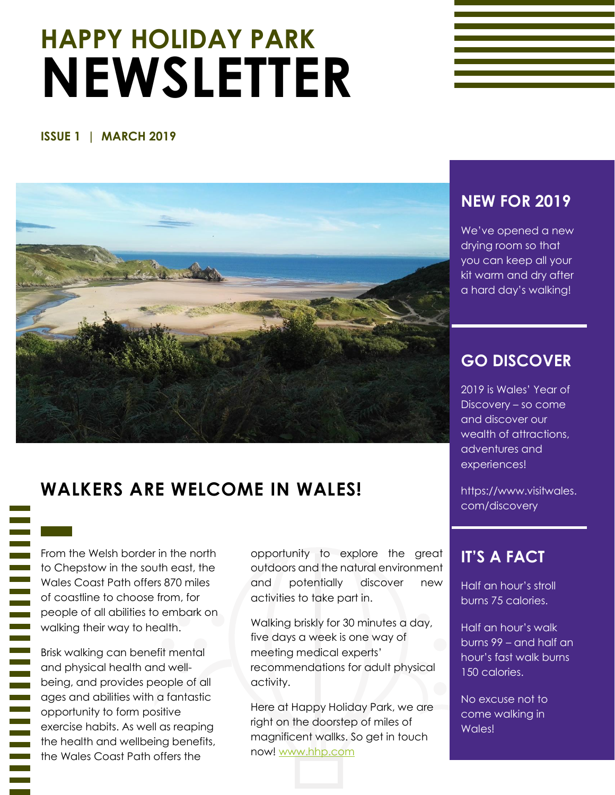# **HAPPY HOLIDAY PARK NEWSLETTER**

#### **ISSUE 1 | MARCH 2019**



### **WALKERS ARE WELCOME IN WALES!**

From the Welsh border in the north to Chepstow in the south east, the Wales Coast Path offers 870 miles of coastline to choose from, for people of all abilities to embark on walking their way to health.

Brisk walking can benefit mental and physical health and wellbeing, and provides people of all ages and abilities with a fantastic opportunity to form positive exercise habits. As well as reaping the health and wellbeing benefits, the Wales Coast Path offers the

opportunity to explore the great outdoors and the natural environment and potentially discover new activities to take part in.

Walking briskly for 30 minutes a day, five days a week is one way of meeting medical experts' recommendations for adult physical activity.

Here at Happy Holiday Park, we are right on the doorstep of miles of magnificent wallks. So get in touch now! [www.hhp.com](http://www.hhp.com/)

#### **NEW FOR 2019**

We've opened a new drying room so that you can keep all your kit warm and dry after a hard day's walking!

#### **GO DISCOVER**

2019 is Wales' Year of Discovery – so come and discover our wealth of attractions, adventures and experiences!

https://www.visitwales. com/discovery

#### **IT'S A FACT**

Half an hour's stroll burns 75 calories.

Half an hour's walk burns 99 – and half an hour's fast walk burns 150 calories.

No excuse not to come walking in Wales!